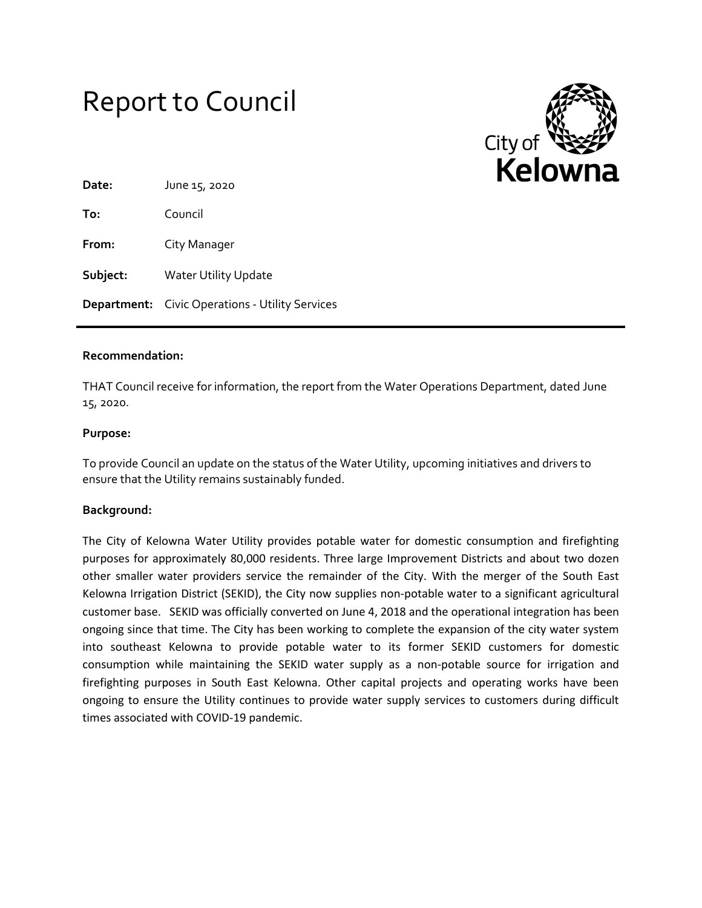



| Date:    | June 15, 2020                                          |
|----------|--------------------------------------------------------|
| To:      | Council                                                |
| From:    | City Manager                                           |
| Subject: | <b>Water Utility Update</b>                            |
|          | <b>Department:</b> Civic Operations - Utility Services |

#### **Recommendation:**

THAT Council receive for information, the report from the Water Operations Department, dated June 15, 2020.

#### **Purpose:**

To provide Council an update on the status of the Water Utility, upcoming initiatives and drivers to ensure that the Utility remains sustainably funded.

## **Background:**

The City of Kelowna Water Utility provides potable water for domestic consumption and firefighting purposes for approximately 80,000 residents. Three large Improvement Districts and about two dozen other smaller water providers service the remainder of the City. With the merger of the South East Kelowna Irrigation District (SEKID), the City now supplies non-potable water to a significant agricultural customer base. SEKID was officially converted on June 4, 2018 and the operational integration has been ongoing since that time. The City has been working to complete the expansion of the city water system into southeast Kelowna to provide potable water to its former SEKID customers for domestic consumption while maintaining the SEKID water supply as a non-potable source for irrigation and firefighting purposes in South East Kelowna. Other capital projects and operating works have been ongoing to ensure the Utility continues to provide water supply services to customers during difficult times associated with COVID-19 pandemic.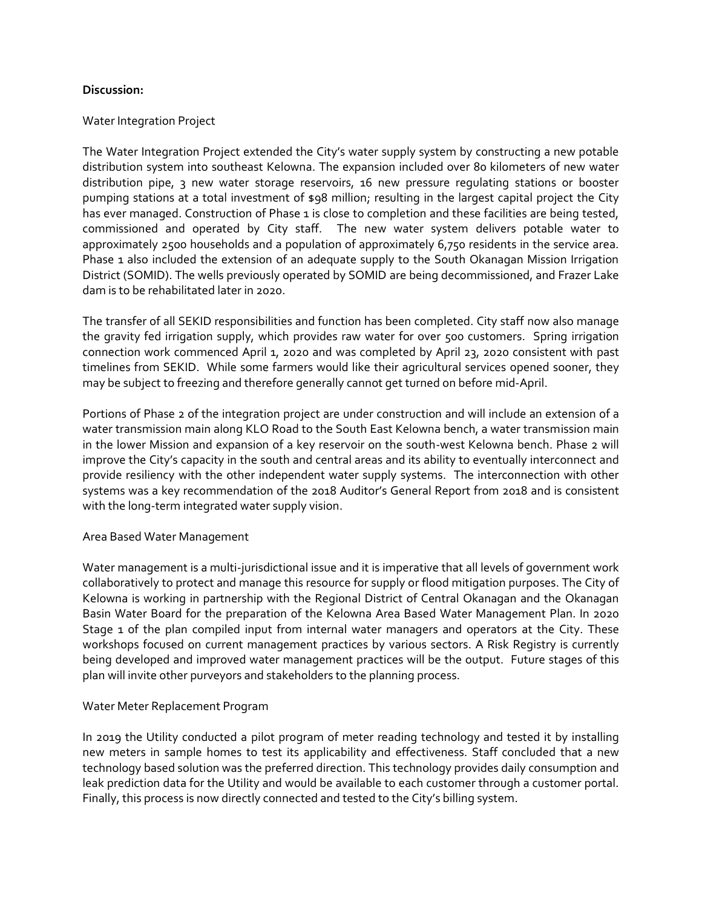## **Discussion:**

## Water Integration Project

The Water Integration Project extended the City's water supply system by constructing a new potable distribution system into southeast Kelowna. The expansion included over 80 kilometers of new water distribution pipe, 3 new water storage reservoirs, 16 new pressure regulating stations or booster pumping stations at a total investment of \$98 million; resulting in the largest capital project the City has ever managed. Construction of Phase 1 is close to completion and these facilities are being tested, commissioned and operated by City staff. The new water system delivers potable water to approximately 2500 households and a population of approximately 6,750 residents in the service area. Phase 1 also included the extension of an adequate supply to the South Okanagan Mission Irrigation District (SOMID). The wells previously operated by SOMID are being decommissioned, and Frazer Lake dam is to be rehabilitated later in 2020.

The transfer of all SEKID responsibilities and function has been completed. City staff now also manage the gravity fed irrigation supply, which provides raw water for over 500 customers. Spring irrigation connection work commenced April 1, 2020 and was completed by April 23, 2020 consistent with past timelines from SEKID. While some farmers would like their agricultural services opened sooner, they may be subject to freezing and therefore generally cannot get turned on before mid-April.

Portions of Phase 2 of the integration project are under construction and will include an extension of a water transmission main along KLO Road to the South East Kelowna bench, a water transmission main in the lower Mission and expansion of a key reservoir on the south-west Kelowna bench. Phase 2 will improve the City's capacity in the south and central areas and its ability to eventually interconnect and provide resiliency with the other independent water supply systems. The interconnection with other systems was a key recommendation of the 2018 Auditor's General Report from 2018 and is consistent with the long-term integrated water supply vision.

## Area Based Water Management

Water management is a multi-jurisdictional issue and it is imperative that all levels of government work collaboratively to protect and manage this resource for supply or flood mitigation purposes. The City of Kelowna is working in partnership with the Regional District of Central Okanagan and the Okanagan Basin Water Board for the preparation of the Kelowna Area Based Water Management Plan. In 2020 Stage 1 of the plan compiled input from internal water managers and operators at the City. These workshops focused on current management practices by various sectors. A Risk Registry is currently being developed and improved water management practices will be the output. Future stages of this plan will invite other purveyors and stakeholders to the planning process.

## Water Meter Replacement Program

In 2019 the Utility conducted a pilot program of meter reading technology and tested it by installing new meters in sample homes to test its applicability and effectiveness. Staff concluded that a new technology based solution was the preferred direction. This technology provides daily consumption and leak prediction data for the Utility and would be available to each customer through a customer portal. Finally, this process is now directly connected and tested to the City's billing system.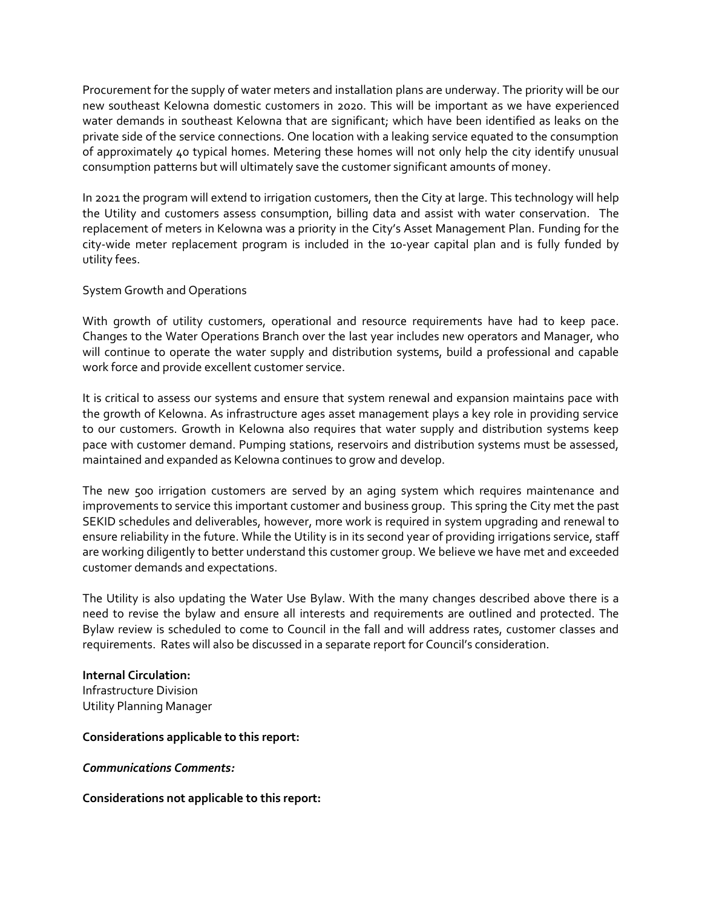Procurement for the supply of water meters and installation plans are underway. The priority will be our new southeast Kelowna domestic customers in 2020. This will be important as we have experienced water demands in southeast Kelowna that are significant; which have been identified as leaks on the private side of the service connections. One location with a leaking service equated to the consumption of approximately 40 typical homes. Metering these homes will not only help the city identify unusual consumption patterns but will ultimately save the customer significant amounts of money.

In 2021 the program will extend to irrigation customers, then the City at large. This technology will help the Utility and customers assess consumption, billing data and assist with water conservation. The replacement of meters in Kelowna was a priority in the City's Asset Management Plan. Funding for the city-wide meter replacement program is included in the 10-year capital plan and is fully funded by utility fees.

## System Growth and Operations

With growth of utility customers, operational and resource requirements have had to keep pace. Changes to the Water Operations Branch over the last year includes new operators and Manager, who will continue to operate the water supply and distribution systems, build a professional and capable work force and provide excellent customer service.

It is critical to assess our systems and ensure that system renewal and expansion maintains pace with the growth of Kelowna. As infrastructure ages asset management plays a key role in providing service to our customers. Growth in Kelowna also requires that water supply and distribution systems keep pace with customer demand. Pumping stations, reservoirs and distribution systems must be assessed, maintained and expanded as Kelowna continues to grow and develop.

The new 500 irrigation customers are served by an aging system which requires maintenance and improvements to service this important customer and business group. This spring the City met the past SEKID schedules and deliverables, however, more work is required in system upgrading and renewal to ensure reliability in the future. While the Utility is in its second year of providing irrigations service, staff are working diligently to better understand this customer group. We believe we have met and exceeded customer demands and expectations.

The Utility is also updating the Water Use Bylaw. With the many changes described above there is a need to revise the bylaw and ensure all interests and requirements are outlined and protected. The Bylaw review is scheduled to come to Council in the fall and will address rates, customer classes and requirements. Rates will also be discussed in a separate report for Council's consideration.

# **Internal Circulation:**

Infrastructure Division Utility Planning Manager

## **Considerations applicable to this report:**

*Communications Comments:*

## **Considerations not applicable to this report:**